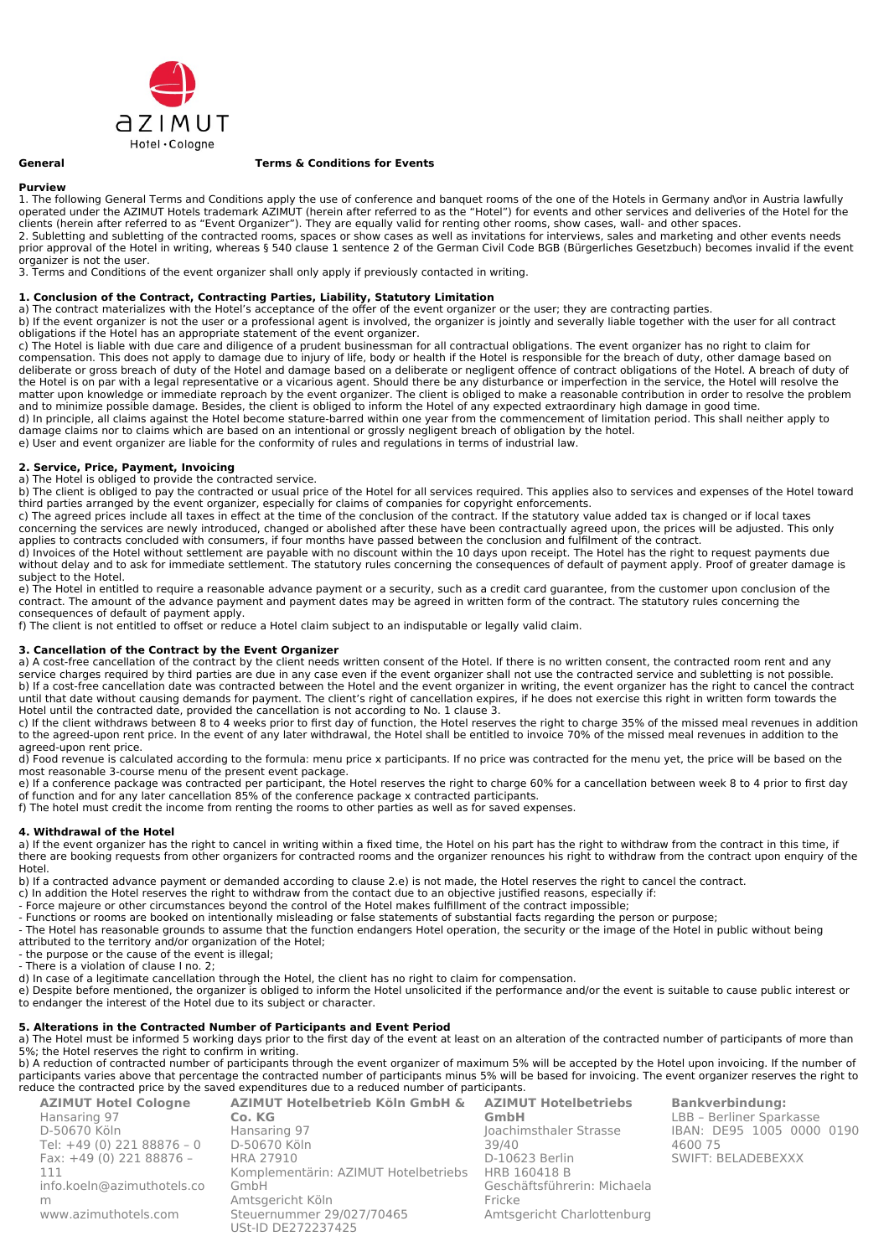

### **General Terms & Conditions for Events**

# **Purview**

1. The following General Terms and Conditions apply the use of conference and banquet rooms of the one of the Hotels in Germany and\or in Austria lawfully operated under the AZIMUT Hotels trademark AZIMUT (herein after referred to as the "Hotel") for events and other services and deliveries of the Hotel for the clients (herein after referred to as "Event Organizer"). They are equally valid for renting other rooms, show cases, wall- and other spaces. 2. Subletting and subletting of the contracted rooms, spaces or show cases as well as invitations for interviews, sales and marketing and other events needs prior approval of the Hotel in writing, whereas § 540 clause 1 sentence 2 of the German Civil Code BGB (Bürgerliches Gesetzbuch) becomes invalid if the event organizer is not the user.

3. Terms and Conditions of the event organizer shall only apply if previously contacted in writing.

## **1. Conclusion of the Contract, Contracting Parties, Liability, Statutory Limitation**

a) The contract materializes with the Hotel's acceptance of the offer of the event organizer or the user; they are contracting parties.

b) If the event organizer is not the user or a professional agent is involved, the organizer is jointly and severally liable together with the user for all contract obligations if the Hotel has an appropriate statement of the event organizer.

c) The Hotel is liable with due care and diligence of a prudent businessman for all contractual obligations. The event organizer has no right to claim for compensation. This does not apply to damage due to injury of life, body or health if the Hotel is responsible for the breach of duty, other damage based on deliberate or gross breach of duty of the Hotel and damage based on a deliberate or negligent offence of contract obligations of the Hotel. A breach of duty of the Hotel is on par with a legal representative or a vicarious agent. Should there be any disturbance or imperfection in the service, the Hotel will resolve the matter upon knowledge or immediate reproach by the event organizer. The client is obliged to make a reasonable contribution in order to resolve the problem and to minimize possible damage. Besides, the client is obliged to inform the Hotel of any expected extraordinary high damage in good time. d) In principle, all claims against the Hotel become stature-barred within one year from the commencement of limitation period. This shall neither apply to damage claims nor to claims which are based on an intentional or grossly negligent breach of obligation by the hotel. e) User and event organizer are liable for the conformity of rules and regulations in terms of industrial law.

# **2. Service, Price, Payment, Invoicing**

a) The Hotel is obliged to provide the contracted service.

b) The client is obliged to pay the contracted or usual price of the Hotel for all services required. This applies also to services and expenses of the Hotel toward third parties arranged by the event organizer, especially for claims of companies for copyright enforcements.

c) The agreed prices include all taxes in effect at the time of the conclusion of the contract. If the statutory value added tax is changed or if local taxes concerning the services are newly introduced, changed or abolished after these have been contractually agreed upon, the prices will be adjusted. This only applies to contracts concluded with consumers, if four months have passed between the conclusion and fulfilment of the contract.

d) Invoices of the Hotel without settlement are payable with no discount within the 10 days upon receipt. The Hotel has the right to request payments due without delay and to ask for immediate settlement. The statutory rules concerning the consequences of default of payment apply. Proof of greater damage is subject to the Hotel.

e) The Hotel in entitled to require a reasonable advance payment or a security, such as a credit card guarantee, from the customer upon conclusion of the contract. The amount of the advance payment and payment dates may be agreed in written form of the contract. The statutory rules concerning the consequences of default of payment apply.

f) The client is not entitled to offset or reduce a Hotel claim subject to an indisputable or legally valid claim.

### **3. Cancellation of the Contract by the Event Organizer**

a) A cost-free cancellation of the contract by the client needs written consent of the Hotel. If there is no written consent, the contracted room rent and any service charges required by third parties are due in any case even if the event organizer shall not use the contracted service and subletting is not possible. b) If a cost-free cancellation date was contracted between the Hotel and the event organizer in writing, the event organizer has the right to cancel the contract until that date without causing demands for payment. The client's right of cancellation expires, if he does not exercise this right in written form towards the Hotel until the contracted date, provided the cancellation is not according to No. 1 clause 3.

c) If the client withdraws between 8 to 4 weeks prior to first day of function, the Hotel reserves the right to charge 35% of the missed meal revenues in addition to the agreed-upon rent price. In the event of any later withdrawal, the Hotel shall be entitled to invoice 70% of the missed meal revenues in addition to the agreed-upon rent price.

d) Food revenue is calculated according to the formula: menu price x participants. If no price was contracted for the menu yet, the price will be based on the most reasonable 3-course menu of the present event package.

e) If a conference package was contracted per participant, the Hotel reserves the right to charge 60% for a cancellation between week 8 to 4 prior to first day of function and for any later cancellation 85% of the conference package x contracted participants.

f) The hotel must credit the income from renting the rooms to other parties as well as for saved expenses.

### **4. Withdrawal of the Hotel**

a) If the event organizer has the right to cancel in writing within a fixed time, the Hotel on his part has the right to withdraw from the contract in this time, if there are booking requests from other organizers for contracted rooms and the organizer renounces his right to withdraw from the contract upon enquiry of the Hotel.

b) If a contracted advance payment or demanded according to clause 2.e) is not made, the Hotel reserves the right to cancel the contract.

c) In addition the Hotel reserves the right to withdraw from the contact due to an objective justified reasons, especially if:

- Force majeure or other circumstances beyond the control of the Hotel makes fulfillment of the contract impossible;

- Functions or rooms are booked on intentionally misleading or false statements of substantial facts regarding the person or purpose;

- The Hotel has reasonable grounds to assume that the function endangers Hotel operation, the security or the image of the Hotel in public without being attributed to the territory and/or organization of the Hotel;

- the purpose or the cause of the event is illegal;

- There is a violation of clause I no. 2;

d) In case of a legitimate cancellation through the Hotel, the client has no right to claim for compensation.

e) Despite before mentioned, the organizer is obliged to inform the Hotel unsolicited if the performance and/or the event is suitable to cause public interest or to endanger the interest of the Hotel due to its subject or character.

### **5. Alterations in the Contracted Number of Participants and Event Period**

a) The Hotel must be informed 5 working days prior to the first day of the event at least on an alteration of the contracted number of participants of more than 5%; the Hotel reserves the right to confirm in writing.

b) A reduction of contracted number of participants through the event organizer of maximum 5% will be accepted by the Hotel upon invoicing. If the number of participants varies above that percentage the contracted number of participants minus 5% will be based for invoicing. The event organizer reserves the right to reduce the contracted price by the saved expenditures due to a reduced number of participants.

| <b>AZIMUT Hotel Cologne</b> | AZIMUT Hotelbetrieb Köln GmbH & AZIMUT Hotelbetriebs |                             | <b>Bankverbindung:</b>    |  |
|-----------------------------|------------------------------------------------------|-----------------------------|---------------------------|--|
| Hansaring 97                | Co. KG                                               | <b>GmbH</b>                 | LBB - Berliner Sparkasse  |  |
| D-50670 Köln                | Hansaring 97                                         | Joachimsthaler Strasse      | IBAN: DE95 1005 0000 0190 |  |
| Tel: +49 (0) 221 88876 - 0  | D-50670 Köln                                         | 39/40                       | 4600 75                   |  |
| Fax: +49 (0) 221 88876 -    | HRA 27910                                            | D-10623 Berlin              | SWIFT: BELADEBEXXX        |  |
| 111                         | Komplementärin: AZIMUT Hotelbetriebs HRB 160418 B    |                             |                           |  |
| info.koeln@azimuthotels.co  | GmbH                                                 | Geschäftsführerin: Michaela |                           |  |
| m                           | Amtsgericht Köln                                     | Fricke                      |                           |  |
| www.azimuthotels.com        | Steuernummer 29/027/70465                            | Amtsgericht Charlottenburg  |                           |  |
|                             | USt-ID DE272237425                                   |                             |                           |  |